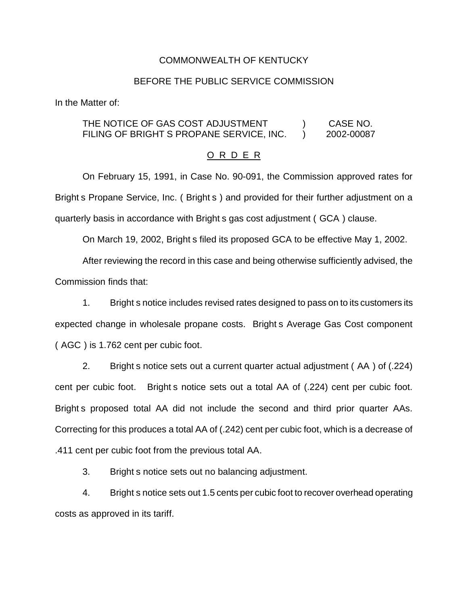#### COMMONWEALTH OF KENTUCKY

#### BEFORE THE PUBLIC SERVICE COMMISSION

In the Matter of:

### THE NOTICE OF GAS COST ADJUSTMENT (and  $(1, 1)$  case no. FILING OF BRIGHT S PROPANE SERVICE, INC.  $\qquad$  2002-00087

#### O R D E R

On February 15, 1991, in Case No. 90-091, the Commission approved rates for Bright s Propane Service, Inc. ( Bright s ) and provided for their further adjustment on a quarterly basis in accordance with Bright s gas cost adjustment ( GCA ) clause.

On March 19, 2002, Bright s filed its proposed GCA to be effective May 1, 2002.

After reviewing the record in this case and being otherwise sufficiently advised, the Commission finds that:

1. Bright s notice includes revised rates designed to pass on to its customers its expected change in wholesale propane costs. Bright s Average Gas Cost component ( AGC ) is 1.762 cent per cubic foot.

2. Bright s notice sets out a current quarter actual adjustment ( AA ) of (.224) cent per cubic foot. Bright s notice sets out a total AA of (.224) cent per cubic foot. Bright s proposed total AA did not include the second and third prior quarter AAs. Correcting for this produces a total AA of (.242) cent per cubic foot, which is a decrease of .411 cent per cubic foot from the previous total AA.

3. Bright s notice sets out no balancing adjustment.

4. Bright s notice sets out 1.5 cents per cubic foot to recover overhead operating costs as approved in its tariff.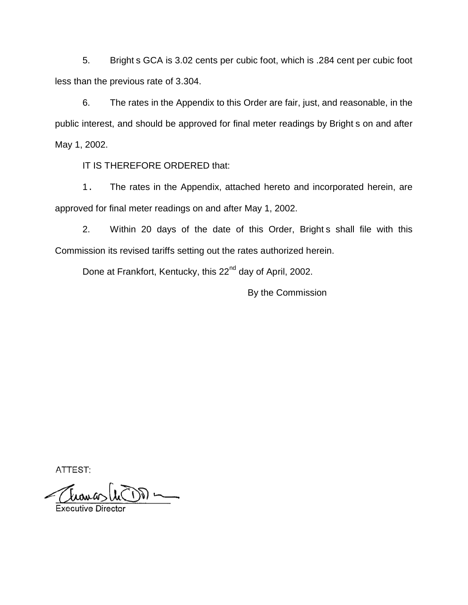5. Bright s GCA is 3.02 cents per cubic foot, which is .284 cent per cubic foot less than the previous rate of 3.304.

6. The rates in the Appendix to this Order are fair, just, and reasonable, in the public interest, and should be approved for final meter readings by Bright s on and after May 1, 2002.

IT IS THEREFORE ORDERED that:

1. The rates in the Appendix, attached hereto and incorporated herein, are approved for final meter readings on and after May 1, 2002.

2. Within 20 days of the date of this Order, Bright s shall file with this Commission its revised tariffs setting out the rates authorized herein.

Done at Frankfort, Kentucky, this 22<sup>nd</sup> day of April, 2002.

By the Commission

ATTEST:

درون به  $\bigcup_{\alpha\in\mathbb{N}}\mathbb{C}^{\alpha}$